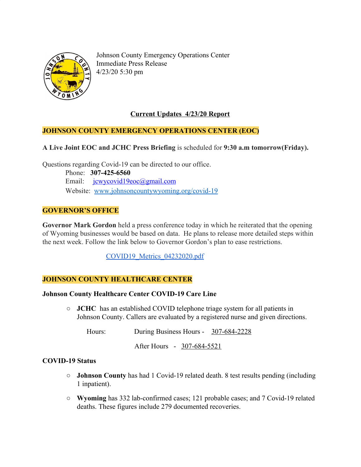

Johnson County Emergency Operations Center Immediate Press Release 4/23/20 5:30 pm

## **Current Updates 4/23/20 Report**

#### **JOHNSON COUNTY EMERGENCY OPERATIONS CENTER (EOC)**

**A Live Joint EOC and JCHC Press Briefing** is scheduled for **9:30 a.m tomorrow(Friday).**

Questions regarding Covid-19 can be directed to our office.

 Phone: **307-425-6560** Email: [jcwycovid19eoc@gmail.com](mailto:jcwycovid19eoc@gmail.com) Website: [www.johnsoncountywyoming.org/covid-19](http://www.johnsoncountywyoming.org/covid-19)

### **GOVERNOR'S OFFICE**

**Governor Mark Gordon** held a press conference today in which he reiterated that the opening of Wyoming businesses would be based on data. He plans to release more detailed steps within the next week. Follow the link below to Governor Gordon's plan to ease restrictions.

[COVID19\\_Metrics\\_04232020.pdf](https://drive.google.com/file/d/1cbsfIjNr3b-jBWwSo194OdW9H1JsppUC/view)

#### **JOHNSON COUNTY HEALTHCARE CENTER**

#### **Johnson County Healthcare Center COVID-19 Care Line**

**○ JCHC** has an established COVID telephone triage system for all patients in Johnson County. Callers are evaluated by a registered nurse and given directions.

Hours: During Business Hours - 307-684-2228

After Hours - 307-684-5521

#### **COVID-19 Status**

- **○ Johnson County** has had 1 Covid-19 related death. 8 test results pending (including 1 inpatient).
- **○ Wyoming** has 332 lab-confirmed cases; 121 probable cases; and 7 Covid-19 related deaths. These figures include 279 documented recoveries.